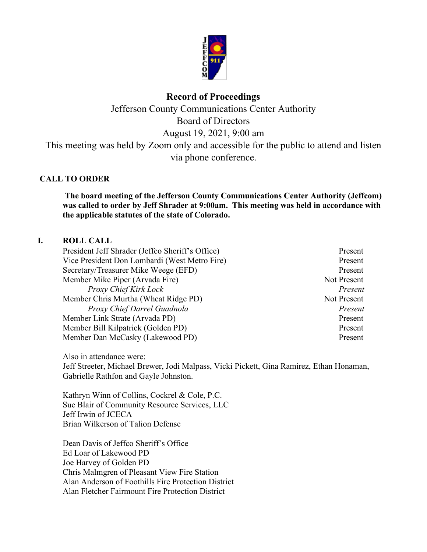

# **Record of Proceedings**

Jefferson County Communications Center Authority Board of Directors August 19, 2021, 9:00 am This meeting was held by Zoom only and accessible for the public to attend and listen via phone conference.

# **CALL TO ORDER**

**The board meeting of the Jefferson County Communications Center Authority (Jeffcom) was called to order by Jeff Shrader at 9:00am. This meeting was held in accordance with the applicable statutes of the state of Colorado.**

## **I. ROLL CALL**

President Jeff Shrader (Jeffco Sheriff's Office) Present Vice President Don Lombardi (West Metro Fire) Present Secretary/Treasurer Mike Weege (EFD) Present Member Mike Piper (Arvada Fire) Not Present *Proxy Chief Kirk Lock Present* Member Chris Murtha (Wheat Ridge PD)Not Present *Proxy Chief Darrel Guadnola Present* Member Link Strate (Arvada PD) Present Member Bill Kilpatrick (Golden PD) Present Member Dan McCasky (Lakewood PD) Present

Also in attendance were: Jeff Streeter, Michael Brewer, Jodi Malpass, Vicki Pickett, Gina Ramirez, Ethan Honaman, Gabrielle Rathfon and Gayle Johnston.

Kathryn Winn of Collins, Cockrel & Cole, P.C. Sue Blair of Community Resource Services, LLC Jeff Irwin of JCECA Brian Wilkerson of Talion Defense

Dean Davis of Jeffco Sheriff's Office Ed Loar of Lakewood PD Joe Harvey of Golden PD Chris Malmgren of Pleasant View Fire Station Alan Anderson of Foothills Fire Protection District Alan Fletcher Fairmount Fire Protection District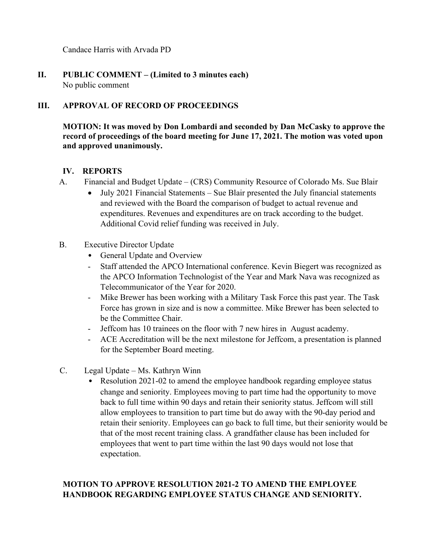Candace Harris with Arvada PD

**II. PUBLIC COMMENT – (Limited to 3 minutes each)** No public comment

# **III. APPROVAL OF RECORD OF PROCEEDINGS**

**MOTION: It was moved by Don Lombardi and seconded by Dan McCasky to approve the record of proceedings of the board meeting for June 17, 2021. The motion was voted upon and approved unanimously.**

## **IV. REPORTS**

- A. Financial and Budget Update (CRS) Community Resource of Colorado Ms. Sue Blair
	- July 2021 Financial Statements Sue Blair presented the July financial statements and reviewed with the Board the comparison of budget to actual revenue and expenditures. Revenues and expenditures are on track according to the budget. Additional Covid relief funding was received in July.
- B. Executive Director Update
	- General Update and Overview
	- Staff attended the APCO International conference. Kevin Biegert was recognized as the APCO Information Technologist of the Year and Mark Nava was recognized as Telecommunicator of the Year for 2020.
	- Mike Brewer has been working with a Military Task Force this past year. The Task Force has grown in size and is now a committee. Mike Brewer has been selected to be the Committee Chair.
	- Jeffcom has 10 trainees on the floor with 7 new hires in August academy.
	- ACE Accreditation will be the next milestone for Jeffcom, a presentation is planned for the September Board meeting.
- C. Legal Update Ms. Kathryn Winn
	- Resolution 2021-02 to amend the employee handbook regarding employee status change and seniority. Employees moving to part time had the opportunity to move back to full time within 90 days and retain their seniority status. Jeffcom will still allow employees to transition to part time but do away with the 90-day period and retain their seniority. Employees can go back to full time, but their seniority would be that of the most recent training class. A grandfather clause has been included for employees that went to part time within the last 90 days would not lose that expectation.

# **MOTION TO APPROVE RESOLUTION 2021-2 TO AMEND THE EMPLOYEE HANDBOOK REGARDING EMPLOYEE STATUS CHANGE AND SENIORITY.**